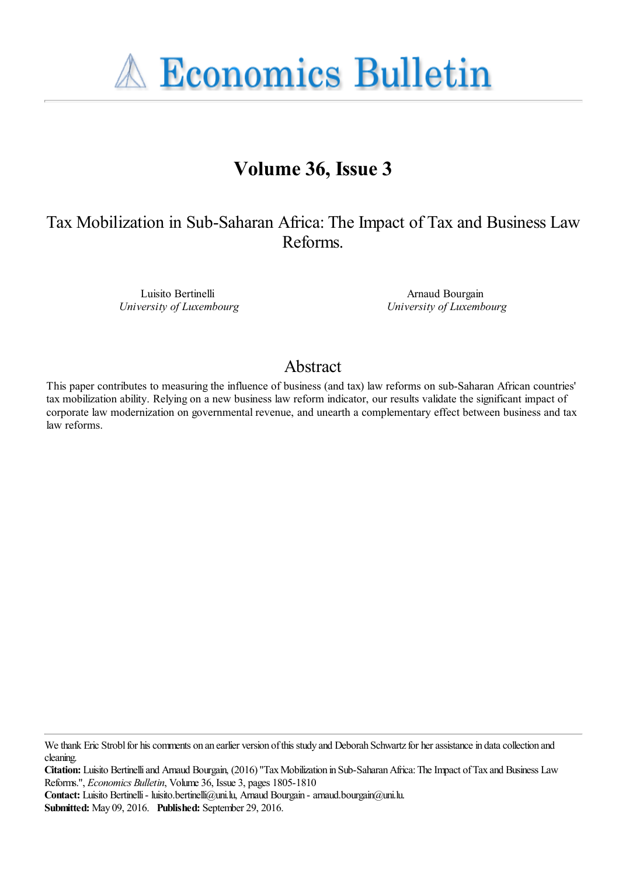**A Economics Bulletin** 

# **Volume 36, Issue 3**

Tax Mobilization in Sub-Saharan Africa: The Impact of Tax and Business Law Reforms.

> Luisito Bertinelli *University of Luxembourg*

Arnaud Bourgain *University of Luxembourg*

# Abstract

This paper contributes to measuring the influence of business (and tax) law reforms on sub-Saharan African countries' tax mobilization ability. Relying on a new business law reform indicator, our results validate the significant impact of corporate law modernization on governmental revenue, and unearth a complementary effect between business and tax law reforms.

**Citation:** Luisito Bertinelli and Arnaud Bourgain, (2016) ''Tax Mobilization in Sub-Saharan Africa: The Impact of Tax and Business Law Reforms.'', *Economics Bulletin*, Volume 36, Issue 3, pages 1805-1810

**Contact:** Luisito Bertinelli - luisito.bertinelli@uni.lu, Arnaud Bourgain - arnaud.bourgain@uni.lu.

**Submitted:** May 09, 2016. **Published:** September 29, 2016.

We thank Eric Strobl for his comments on an earlier version of this study and Deborah Schwartz for her assistance in data collection and cleaning.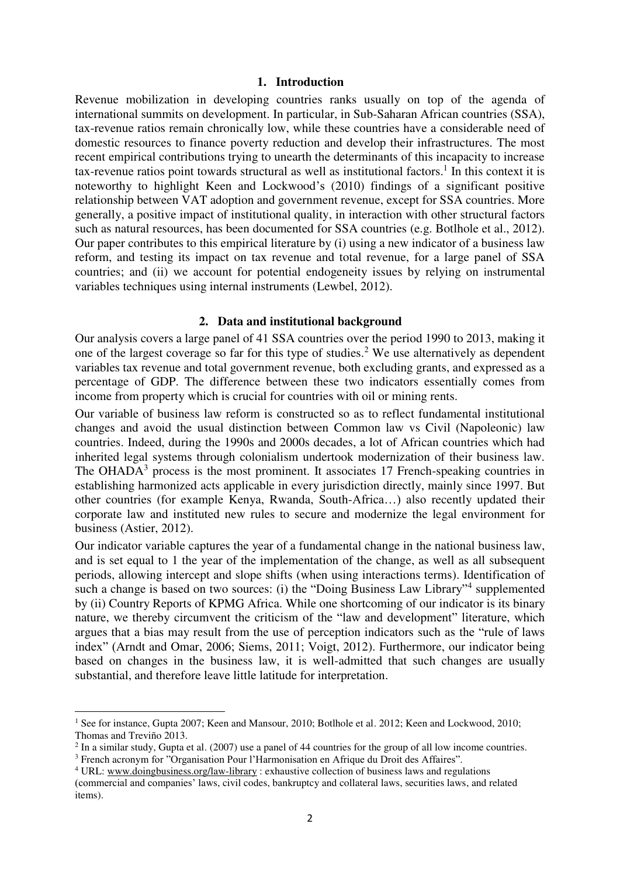#### **1. Introduction**

Revenue mobilization in developing countries ranks usually on top of the agenda of international summits on development. In particular, in Sub-Saharan African countries (SSA), tax-revenue ratios remain chronically low, while these countries have a considerable need of domestic resources to finance poverty reduction and develop their infrastructures. The most recent empirical contributions trying to unearth the determinants of this incapacity to increase tax-revenue ratios point towards structural as well as institutional factors.<sup>1</sup> In this context it is noteworthy to highlight Keen and Lockwood's (2010) findings of a significant positive relationship between VAT adoption and government revenue, except for SSA countries. More generally, a positive impact of institutional quality, in interaction with other structural factors such as natural resources, has been documented for SSA countries (e.g. Botlhole et al., 2012). Our paper contributes to this empirical literature by (i) using a new indicator of a business law reform, and testing its impact on tax revenue and total revenue, for a large panel of SSA countries; and (ii) we account for potential endogeneity issues by relying on instrumental variables techniques using internal instruments (Lewbel, 2012).

#### **2. Data and institutional background**

Our analysis covers a large panel of 41 SSA countries over the period 1990 to 2013, making it one of the largest coverage so far for this type of studies.<sup>2</sup> We use alternatively as dependent variables tax revenue and total government revenue, both excluding grants, and expressed as a percentage of GDP. The difference between these two indicators essentially comes from income from property which is crucial for countries with oil or mining rents.

Our variable of business law reform is constructed so as to reflect fundamental institutional changes and avoid the usual distinction between Common law vs Civil (Napoleonic) law countries. Indeed, during the 1990s and 2000s decades, a lot of African countries which had inherited legal systems through colonialism undertook modernization of their business law. The OHADA<sup>3</sup> process is the most prominent. It associates 17 French-speaking countries in establishing harmonized acts applicable in every jurisdiction directly, mainly since 1997. But other countries (for example Kenya, Rwanda, South-Africa…) also recently updated their corporate law and instituted new rules to secure and modernize the legal environment for business (Astier, 2012).

Our indicator variable captures the year of a fundamental change in the national business law, and is set equal to 1 the year of the implementation of the change, as well as all subsequent periods, allowing intercept and slope shifts (when using interactions terms). Identification of such a change is based on two sources: (i) the "Doing Business Law Library"<sup>4</sup> supplemented by (ii) Country Reports of KPMG Africa. While one shortcoming of our indicator is its binary nature, we thereby circumvent the criticism of the "law and development" literature, which argues that a bias may result from the use of perception indicators such as the "rule of laws index" (Arndt and Omar, 2006; Siems, 2011; Voigt, 2012). Furthermore, our indicator being based on changes in the business law, it is well-admitted that such changes are usually substantial, and therefore leave little latitude for interpretation.

 $\overline{a}$ 

<sup>&</sup>lt;sup>1</sup> See for instance, Gupta 2007; Keen and Mansour, 2010; Botlhole et al. 2012; Keen and Lockwood, 2010; Thomas and Treviño 2013.

 $2 \text{ In a similar study, Gupta et al. (2007) use a panel of 44 countries for the group of all low income countries.}$ 

<sup>&</sup>lt;sup>3</sup> French acronym for "Organisation Pour l'Harmonisation en Afrique du Droit des Affaires".

<sup>&</sup>lt;sup>4</sup> URL: [www.doingbusiness.org/law-library](http://www.doingbusiness.org/law-library) : exhaustive collection of business laws and regulations (commercial and companies' laws, civil codes, bankruptcy and collateral laws, securities laws, and related items).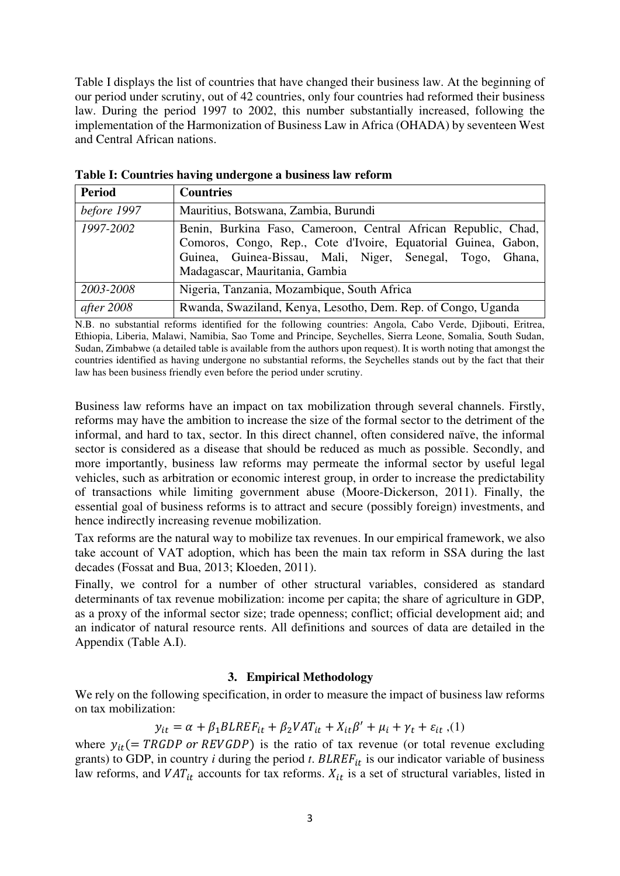Table I displays the list of countries that have changed their business law. At the beginning of our period under scrutiny, out of 42 countries, only four countries had reformed their business law. During the period 1997 to 2002, this number substantially increased, following the implementation of the Harmonization of Business Law in Africa (OHADA) by seventeen West and Central African nations.

| <b>Period</b> | <b>Countries</b>                                                                                                                                                                                                                |  |  |  |  |  |  |  |  |  |
|---------------|---------------------------------------------------------------------------------------------------------------------------------------------------------------------------------------------------------------------------------|--|--|--|--|--|--|--|--|--|
| before 1997   | Mauritius, Botswana, Zambia, Burundi                                                                                                                                                                                            |  |  |  |  |  |  |  |  |  |
| 1997-2002     | Benin, Burkina Faso, Cameroon, Central African Republic, Chad,<br>Comoros, Congo, Rep., Cote d'Ivoire, Equatorial Guinea, Gabon,<br>Guinea, Guinea-Bissau, Mali, Niger, Senegal, Togo, Ghana,<br>Madagascar, Mauritania, Gambia |  |  |  |  |  |  |  |  |  |
| 2003-2008     | Nigeria, Tanzania, Mozambique, South Africa                                                                                                                                                                                     |  |  |  |  |  |  |  |  |  |
| after 2008    | Rwanda, Swaziland, Kenya, Lesotho, Dem. Rep. of Congo, Uganda                                                                                                                                                                   |  |  |  |  |  |  |  |  |  |

**Table I: Countries having undergone a business law reform** 

N.B. no substantial reforms identified for the following countries: Angola, Cabo Verde, Djibouti, Eritrea, Ethiopia, Liberia, Malawi, Namibia, Sao Tome and Principe, Seychelles, Sierra Leone, Somalia, South Sudan, Sudan, Zimbabwe (a detailed table is available from the authors upon request). It is worth noting that amongst the countries identified as having undergone no substantial reforms, the Seychelles stands out by the fact that their law has been business friendly even before the period under scrutiny.

Business law reforms have an impact on tax mobilization through several channels. Firstly, reforms may have the ambition to increase the size of the formal sector to the detriment of the informal, and hard to tax, sector. In this direct channel, often considered naïve, the informal sector is considered as a disease that should be reduced as much as possible. Secondly, and more importantly, business law reforms may permeate the informal sector by useful legal vehicles, such as arbitration or economic interest group, in order to increase the predictability of transactions while limiting government abuse (Moore-Dickerson, 2011). Finally, the essential goal of business reforms is to attract and secure (possibly foreign) investments, and hence indirectly increasing revenue mobilization.

Tax reforms are the natural way to mobilize tax revenues. In our empirical framework, we also take account of VAT adoption, which has been the main tax reform in SSA during the last decades (Fossat and Bua, 2013; Kloeden, 2011).

Finally, we control for a number of other structural variables, considered as standard determinants of tax revenue mobilization: income per capita; the share of agriculture in GDP, as a proxy of the informal sector size; trade openness; conflict; official development aid; and an indicator of natural resource rents. All definitions and sources of data are detailed in the Appendix (Table A.I).

## **3. Empirical Methodology**

We rely on the following specification, in order to measure the impact of business law reforms on tax mobilization:

$$
y_{it} = \alpha + \beta_1 BLREF_{it} + \beta_2 VAT_{it} + X_{it}\beta' + \mu_i + \gamma_t + \varepsilon_{it} , (1)
$$

where  $y_{it}$  (= TRGDP or REVGDP) is the ratio of tax revenue (or total revenue excluding grants) to GDP, in country  $i$  during the period  $t$ .  $BLREF_{it}$  is our indicator variable of business law reforms, and  $VAT_{it}$  accounts for tax reforms.  $X_{it}$  is a set of structural variables, listed in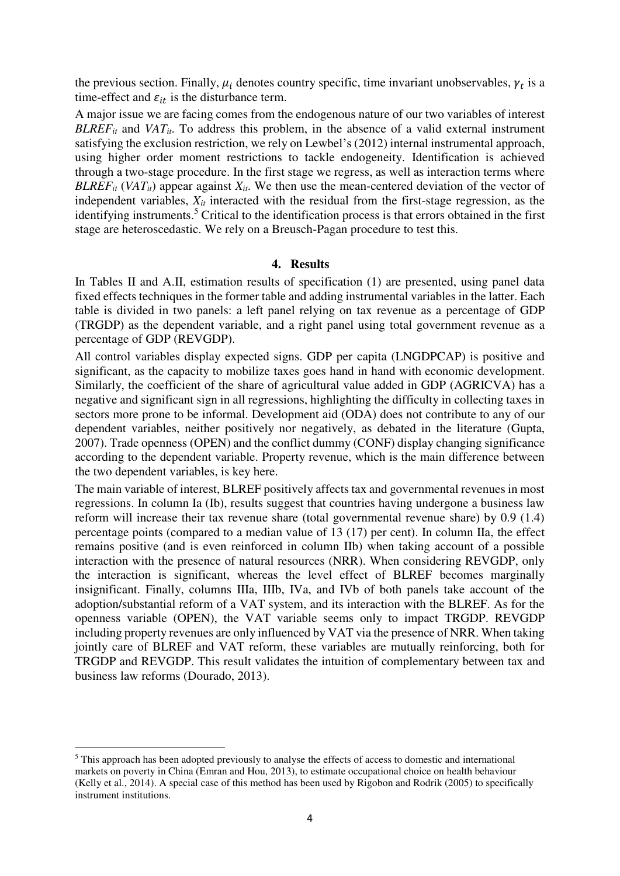the previous section. Finally,  $\mu_i$  denotes country specific, time invariant unobservables,  $\gamma_t$  is a time-effect and  $\varepsilon_{it}$  is the disturbance term.

A major issue we are facing comes from the endogenous nature of our two variables of interest *BLREF<sub>it</sub>* and *VAT<sub>it</sub>*. To address this problem, in the absence of a valid external instrument satisfying the exclusion restriction, we rely on Lewbel's (2012) internal instrumental approach, using higher order moment restrictions to tackle endogeneity. Identification is achieved through a two-stage procedure. In the first stage we regress, as well as interaction terms where *BLREF*<sup>*it*</sup> (*VAT<sub>it</sub>*) appear against  $X_{it}$ . We then use the mean-centered deviation of the vector of independent variables,  $X_{it}$  interacted with the residual from the first-stage regression, as the identifying instruments.<sup>5</sup> Critical to the identification process is that errors obtained in the first stage are heteroscedastic. We rely on a Breusch-Pagan procedure to test this.

#### **4. Results**

In Tables II and A.II, estimation results of specification (1) are presented, using panel data fixed effects techniques in the former table and adding instrumental variables in the latter. Each table is divided in two panels: a left panel relying on tax revenue as a percentage of GDP (TRGDP) as the dependent variable, and a right panel using total government revenue as a percentage of GDP (REVGDP).

All control variables display expected signs. GDP per capita (LNGDPCAP) is positive and significant, as the capacity to mobilize taxes goes hand in hand with economic development. Similarly, the coefficient of the share of agricultural value added in GDP (AGRICVA) has a negative and significant sign in all regressions, highlighting the difficulty in collecting taxes in sectors more prone to be informal. Development aid (ODA) does not contribute to any of our dependent variables, neither positively nor negatively, as debated in the literature (Gupta, 2007). Trade openness (OPEN) and the conflict dummy (CONF) display changing significance according to the dependent variable. Property revenue, which is the main difference between the two dependent variables, is key here.

The main variable of interest, BLREF positively affects tax and governmental revenues in most regressions. In column Ia (Ib), results suggest that countries having undergone a business law reform will increase their tax revenue share (total governmental revenue share) by 0.9 (1.4) percentage points (compared to a median value of 13 (17) per cent). In column IIa, the effect remains positive (and is even reinforced in column IIb) when taking account of a possible interaction with the presence of natural resources (NRR). When considering REVGDP, only the interaction is significant, whereas the level effect of BLREF becomes marginally insignificant. Finally, columns IIIa, IIIb, IVa, and IVb of both panels take account of the adoption/substantial reform of a VAT system, and its interaction with the BLREF. As for the openness variable (OPEN), the VAT variable seems only to impact TRGDP. REVGDP including property revenues are only influenced by VAT via the presence of NRR. When taking jointly care of BLREF and VAT reform, these variables are mutually reinforcing, both for TRGDP and REVGDP. This result validates the intuition of complementary between tax and business law reforms (Dourado, 2013).

 $\overline{a}$ 

<sup>&</sup>lt;sup>5</sup> This approach has been adopted previously to analyse the effects of access to domestic and international markets on poverty in China (Emran and Hou, 2013), to estimate occupational choice on health behaviour (Kelly et al., 2014). A special case of this method has been used by Rigobon and Rodrik (2005) to specifically instrument institutions.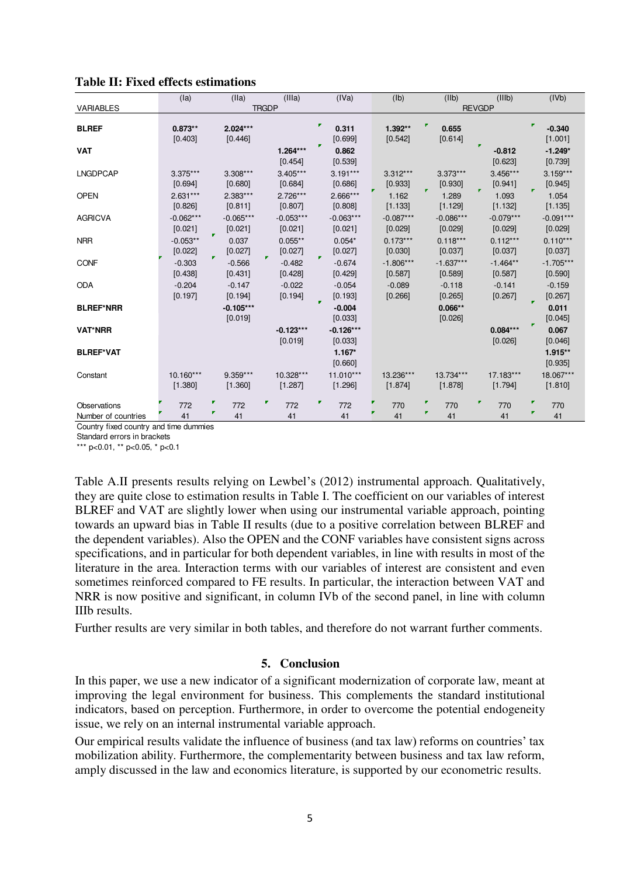|                                     | (la)                   |                               | (IIa)                  |    | (IIIa)                 |  | (IVa)                       |  | (Ib)                   |   | (IIb)                  |   | (IIIb)                 |   | (IVb)                           |
|-------------------------------------|------------------------|-------------------------------|------------------------|----|------------------------|--|-----------------------------|--|------------------------|---|------------------------|---|------------------------|---|---------------------------------|
| <b>VARIABLES</b>                    |                        | <b>TRGDP</b><br><b>REVGDP</b> |                        |    |                        |  |                             |  |                        |   |                        |   |                        |   |                                 |
| <b>BLREF</b>                        | $0.873**$              |                               | $2.024***$             |    |                        |  | 0.311                       |  | 1.392**                |   | 0.655                  |   |                        | ┏ | $-0.340$                        |
| <b>VAT</b>                          | [0.403]                |                               | [0.446]                |    | $1.264***$<br>[0.454]  |  | [0.699]<br>0.862<br>[0.539] |  | [0.542]                |   | [0.614]                |   | $-0.812$<br>[0.623]    |   | [1.001]<br>$-1.249*$<br>[0.739] |
| <b>LNGDPCAP</b>                     | $3.375***$<br>[0.694]  |                               | $3.308***$<br>[0.680]  |    | $3.405***$<br>[0.684]  |  | $3.191***$<br>[0.686]       |  | $3.312***$<br>[0.933]  |   | $3.373***$<br>[0.930]  |   | $3.456***$<br>[0.941]  |   | $3.159***$<br>[0.945]           |
| <b>OPEN</b>                         | $2.631***$<br>[0.826]  |                               | 2.383***<br>[0.811]    |    | $2.726***$<br>[0.807]  |  | 2.666***<br>[0.808]         |  | 1.162<br>[1.133]       |   | 1.289<br>[1.129]       | , | 1.093<br>[1.132]       | F | 1.054<br>[1.135]                |
| <b>AGRICVA</b>                      | $-0.062***$<br>[0.021] | 7                             | $-0.065***$<br>[0.021] |    | $-0.053***$<br>[0.021] |  | $-0.063***$<br>[0.021]      |  | $-0.087***$<br>[0.029] |   | $-0.086***$<br>[0.029] |   | $-0.079***$<br>[0.029] |   | $-0.091***$<br>[0.029]          |
| <b>NRR</b>                          | $-0.053**$<br>[0.022]  | v.                            | 0.037<br>[0.027]       | v. | $0.055**$<br>[0.027]   |  | $0.054*$<br>[0.027]         |  | $0.173***$<br>[0.030]  |   | $0.118***$<br>[0.037]  |   | $0.112***$<br>[0.037]  |   | $0.110***$<br>[0.037]           |
| <b>CONF</b>                         | $-0.303$<br>[0.438]    |                               | $-0.566$<br>[0.431]    |    | $-0.482$<br>[0.428]    |  | $-0.674$<br>[0.429]         |  | $-1.806***$<br>[0.587] |   | $-1.637***$<br>[0.589] |   | $-1.464**$<br>[0.587]  |   | $-1.705***$<br>[0.590]          |
| <b>ODA</b>                          | $-0.204$<br>[0.197]    |                               | $-0.147$<br>[0.194]    |    | $-0.022$<br>[0.194]    |  | $-0.054$<br>[0.193]         |  | $-0.089$<br>[0.266]    |   | $-0.118$<br>[0.265]    |   | $-0.141$<br>[0.267]    | п | $-0.159$<br>[0.267]             |
| <b>BLREF*NRR</b>                    |                        |                               | $-0.105***$<br>[0.019] |    |                        |  | $-0.004$<br>[0.033]         |  |                        |   | $0.066**$<br>[0.026]   |   |                        |   | 0.011<br>[0.045]                |
| <b>VAT*NRR</b>                      |                        |                               |                        |    | $-0.123***$<br>[0.019] |  | $-0.126***$<br>[0.033]      |  |                        |   |                        |   | $0.084***$<br>[0.026]  |   | 0.067<br>[0.046]                |
| <b>BLREF*VAT</b>                    |                        |                               |                        |    |                        |  | $1.167*$<br>[0.660]         |  |                        |   |                        |   |                        |   | $1.915**$<br>[0.935]            |
| Constant                            | 10.160***<br>[1.380]   |                               | $9.359***$<br>[1.360]  |    | 10.328***<br>[1.287]   |  | $11.010***$<br>[1.296]      |  | 13.236***<br>[1.874]   |   | 13.734***<br>[1.878]   |   | 17.183***<br>[1.794]   |   | 18.067***<br>[1.810]            |
| Observations<br>Number of countries | 772<br>41              | ₽                             | 772<br>41              | ▼  | 772<br>41              |  | 772<br>41                   |  | 770<br>41              | ▼ | 770<br>41              | ₹ | 770<br>41              | Г | 770<br>41                       |

## **Table II: Fixed effects estimations**

Country fixed country and time dummies

Standard errors in brackets

\*\*\* p<0.01, \*\* p<0.05, \* p<0.1

Table A.II presents results relying on Lewbel's (2012) instrumental approach. Qualitatively, they are quite close to estimation results in Table I. The coefficient on our variables of interest BLREF and VAT are slightly lower when using our instrumental variable approach, pointing towards an upward bias in Table II results (due to a positive correlation between BLREF and the dependent variables). Also the OPEN and the CONF variables have consistent signs across specifications, and in particular for both dependent variables, in line with results in most of the literature in the area. Interaction terms with our variables of interest are consistent and even sometimes reinforced compared to FE results. In particular, the interaction between VAT and NRR is now positive and significant, in column IVb of the second panel, in line with column IIIb results.

Further results are very similar in both tables, and therefore do not warrant further comments.

## **5. Conclusion**

In this paper, we use a new indicator of a significant modernization of corporate law, meant at improving the legal environment for business. This complements the standard institutional indicators, based on perception. Furthermore, in order to overcome the potential endogeneity issue, we rely on an internal instrumental variable approach.

Our empirical results validate the influence of business (and tax law) reforms on countries' tax mobilization ability. Furthermore, the complementarity between business and tax law reform, amply discussed in the law and economics literature, is supported by our econometric results.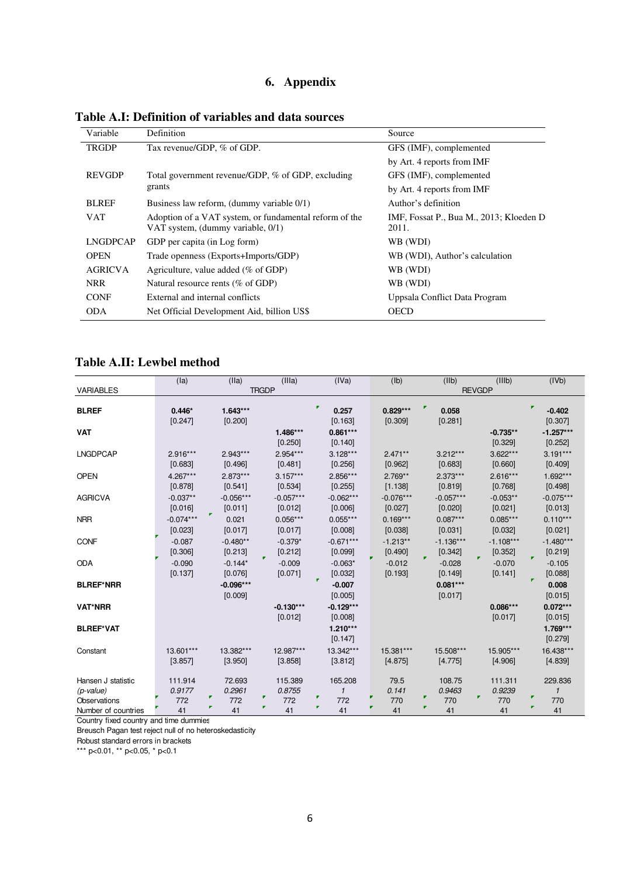# **6. Appendix**

| Variable        | Definition                                                                                  | Source                                           |  |  |  |
|-----------------|---------------------------------------------------------------------------------------------|--------------------------------------------------|--|--|--|
| <b>TRGDP</b>    | Tax revenue/GDP, % of GDP.                                                                  | GFS (IMF), complemented                          |  |  |  |
|                 |                                                                                             | by Art. 4 reports from IMF                       |  |  |  |
| <b>REVGDP</b>   | Total government revenue/GDP, % of GDP, excluding                                           | GFS (IMF), complemented                          |  |  |  |
|                 | grants                                                                                      | by Art. 4 reports from IMF                       |  |  |  |
| <b>BLREF</b>    | Business law reform, (dummy variable 0/1)                                                   | Author's definition                              |  |  |  |
| <b>VAT</b>      | Adoption of a VAT system, or fundamental reform of the<br>VAT system, (dummy variable, 0/1) | IMF, Fossat P., Bua M., 2013; Kloeden D<br>2011. |  |  |  |
| <b>LNGDPCAP</b> | GDP per capita (in Log form)                                                                | WB (WDI)                                         |  |  |  |
| <b>OPEN</b>     | Trade openness (Exports+Imports/GDP)                                                        | WB (WDI), Author's calculation                   |  |  |  |
| <b>AGRICVA</b>  | Agriculture, value added ( $\%$ of GDP)                                                     | WB (WDI)                                         |  |  |  |
| <b>NRR</b>      | Natural resource rents (% of GDP)                                                           | WB (WDI)                                         |  |  |  |
| <b>CONF</b>     | External and internal conflicts                                                             | Uppsala Conflict Data Program                    |  |  |  |
| <b>ODA</b>      | Net Official Development Aid, billion US\$                                                  | <b>OECD</b>                                      |  |  |  |

**Table A.I: Definition of variables and data sources** 

# **Table A.II: Lewbel method**

|                     | (la)        | (IIa)       | (IIIa)       | (IVa)        | (Ib)          | (IIb)       | (IIIb)      | (IVb)        |  |  |
|---------------------|-------------|-------------|--------------|--------------|---------------|-------------|-------------|--------------|--|--|
| <b>VARIABLES</b>    |             |             | <b>TRGDP</b> |              | <b>REVGDP</b> |             |             |              |  |  |
|                     |             |             |              | F            |               |             |             |              |  |  |
| <b>BLREF</b>        | $0.446*$    | $1.643***$  |              | 0.257        | $0.829***$    | ₽<br>0.058  |             | $-0.402$     |  |  |
|                     | [0.247]     | [0.200]     |              | [0.163]      | [0.309]       | [0.281]     |             | [0.307]      |  |  |
| <b>VAT</b>          |             |             | 1.486***     | $0.861***$   |               |             | $-0.735**$  | $-1.257***$  |  |  |
|                     |             |             | [0.250]      | [0.140]      |               |             | [0.329]     | [0.252]      |  |  |
| <b>LNGDPCAP</b>     | $2.916***$  | $2.943***$  | $2.954***$   | $3.128***$   | $2.471**$     | $3.212***$  | $3.622***$  | $3.191***$   |  |  |
|                     | [0.683]     | [0.496]     | [0.481]      | [0.256]      | [0.962]       | [0.683]     | [0.660]     | [0.409]      |  |  |
| <b>OPEN</b>         | $4.267***$  | $2.873***$  | $3.157***$   | 2.856***     | $2.769**$     | $2.373***$  | $2.616***$  | $1.692***$   |  |  |
|                     | [0.878]     | [0.541]     | [0.534]      | [0.255]      | [1.138]       | [0.819]     | [0.768]     | [0.498]      |  |  |
| <b>AGRICVA</b>      | $-0.037**$  | $-0.056***$ | $-0.057***$  | $-0.062***$  | $-0.076***$   | $-0.057***$ | $-0.053**$  | $-0.075***$  |  |  |
|                     | [0.016]     | [0.011]     | [0.012]      | [0.006]      | [0.027]       | [0.020]     | [0.021]     | [0.013]      |  |  |
| <b>NRR</b>          | $-0.074***$ | 0.021       | $0.056***$   | $0.055***$   | $0.169***$    | $0.087***$  | $0.085***$  | $0.110***$   |  |  |
|                     | [0.023]     | [0.017]     | [0.017]      | [0.008]      | [0.038]       | [0.031]     | [0.032]     | [0.021]      |  |  |
| <b>CONF</b>         | $-0.087$    | $-0.480**$  | $-0.379*$    | $-0.671***$  | $-1.213**$    | $-1.136***$ | $-1.108***$ | $-1.480***$  |  |  |
|                     | [0.306]     | [0.213]     | [0.212]      | [0.099]      | [0.490]       | [0.342]     | [0.352]     | [0.219]      |  |  |
| <b>ODA</b>          | $-0.090$    | $-0.144*$   | $-0.009$     | $-0.063*$    | $-0.012$      | $-0.028$    | $-0.070$    | $-0.105$     |  |  |
|                     | [0.137]     | [0.076]     | [0.071]      | [0.032]      | [0.193]       | [0.149]     | [0.141]     | [0.088]      |  |  |
| <b>BLREF*NRR</b>    |             | $-0.096***$ |              | $-0.007$     |               | $0.081***$  |             | 0.008        |  |  |
|                     |             | [0.009]     |              | [0.005]      |               | [0.017]     |             | [0.015]      |  |  |
|                     |             |             |              |              |               |             |             |              |  |  |
| <b>VAT*NRR</b>      |             |             | $-0.130***$  | $-0.129***$  |               |             | $0.086***$  | $0.072***$   |  |  |
|                     |             |             | [0.012]      | [0.008]      |               |             | [0.017]     | [0.015]      |  |  |
| <b>BLREF*VAT</b>    |             |             |              | $1.210***$   |               |             |             | $1.769***$   |  |  |
|                     |             |             |              | [0.147]      |               |             |             | [0.279]      |  |  |
| Constant            | 13.601***   | 13.382***   | 12.987***    | 13.342***    | 15.381***     | 15.508***   | 15.905***   | 16.438***    |  |  |
|                     | [3.857]     | [3.950]     | [3.858]      | [3.812]      | [4.875]       | [4.775]     | [4.906]     | [4.839]      |  |  |
| Hansen J statistic  | 111.914     | 72.693      | 115.389      | 165.208      | 79.5          | 108.75      | 111.311     | 229.836      |  |  |
| $(p-value)$         | 0.9177      | 0.2961      | 0.8755       | $\mathbf{1}$ | 0.141         | 0.9463      | 0.9239      | $\mathbf{1}$ |  |  |
| Observations        | 772         | 772         | 772          | F<br>772     | 770           | F<br>770    | 770         | ×<br>770     |  |  |
| Number of countries | 41          | 41          | 41           | 41           | 41            | 41          | 41          | 41           |  |  |

Country fixed country and time dummies

Breusch Pagan test reject null of no heteroskedasticity

Robust standard errors in brackets

\*\*\* p<0.01, \*\* p<0.05, \* p<0.1